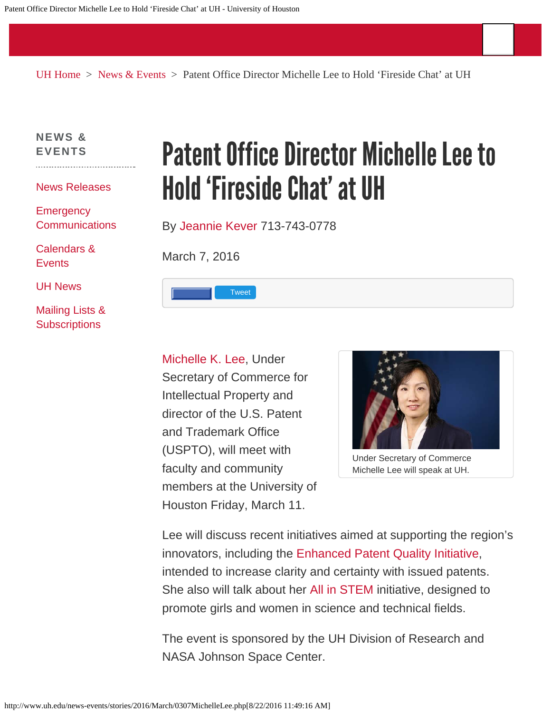[UH Home](http://www.uh.edu/) > [News & Events](http://www.uh.edu/news-events/) > Patent Office Director Michelle Lee to Hold 'Fireside Chat' at UH

**[NEWS &](http://www.uh.edu/news-events/index-beforerefresh.php) [EVENTS](http://www.uh.edu/news-events/index-beforerefresh.php)**

[News Releases](http://www.uh.edu/news-events/archive.php)

**[Emergency](http://www.piersystem.com/go/site/1093) [Communications](http://www.piersystem.com/go/site/1093)** 

[Calendars &](http://www.uh.edu/calendar/) **[Events](http://www.uh.edu/calendar/)** 

[UH News](http://www.uh.edu/today/)

[Mailing Lists &](http://www.uh.edu/news-events/mailing-lists/) **[Subscriptions](http://www.uh.edu/news-events/mailing-lists/)** 

## Patent Office Director Michelle Lee to Hold 'Fireside Chat' at UH

By [Jeannie Kever](mailto:jekever@uh.edu) 713-743-0778

March 7, 2016



[Michelle K. Lee](http://www.uspto.gov/about-us/executive-biographies/michelle-k-lee), Under Secretary of Commerce for Intellectual Property and director of the U.S. Patent and Trademark Office (USPTO), will meet with faculty and community members at the University of Houston Friday, March 11.



Under Secretary of Commerce Michelle Lee will speak at UH.

Lee will discuss recent initiatives aimed at supporting the region's innovators, including the [Enhanced Patent Quality Initiative,](http://www.uspto.gov/patent/initiatives/enhanced-patent-quality-initiative) intended to increase clarity and certainty with issued patents. She also will talk about her [All in STEM](http://www.uspto.gov/learning-and-resources/allinstem) initiative, designed to promote girls and women in science and technical fields.

The event is sponsored by the UH Division of Research and NASA Johnson Space Center.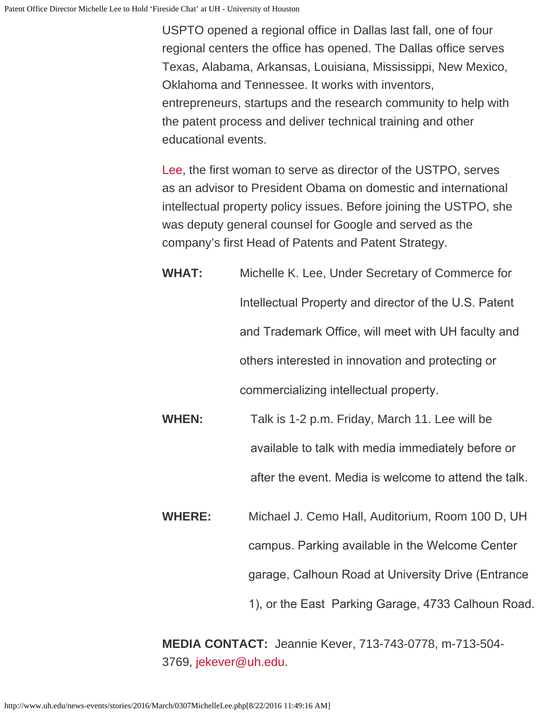USPTO opened a regional office in Dallas last fall, one of four regional centers the office has opened. The Dallas office serves Texas, Alabama, Arkansas, Louisiana, Mississippi, New Mexico, Oklahoma and Tennessee. It works with inventors, entrepreneurs, startups and the research community to help with the patent process and deliver technical training and other educational events.

[Lee,](http://www.uspto.gov/about-us/executive-biographies/michelle-k-lee) the first woman to serve as director of the USTPO, serves as an advisor to President Obama on domestic and international intellectual property policy issues. Before joining the USTPO, she was deputy general counsel for Google and served as the company's first Head of Patents and Patent Strategy.

- **WHAT:** Michelle K. Lee, Under Secretary of Commerce for Intellectual Property and director of the U.S. Patent and Trademark Office, will meet with UH faculty and others interested in innovation and protecting or commercializing intellectual property.
- **WHEN:** Talk is 1-2 p.m. Friday, March 11. Lee will be available to talk with media immediately before or after the event. Media is welcome to attend the talk.
- **WHERE:** Michael J. Cemo Hall, Auditorium, Room 100 D, UH campus. Parking available in the Welcome Center garage, Calhoun Road at University Drive (Entrance 1), or the East Parking Garage, 4733 Calhoun Road.

**MEDIA CONTACT:** Jeannie Kever, 713-743-0778, m-713-504- 3769, [jekever@uh.edu](mailto:jekever@uh.edu).